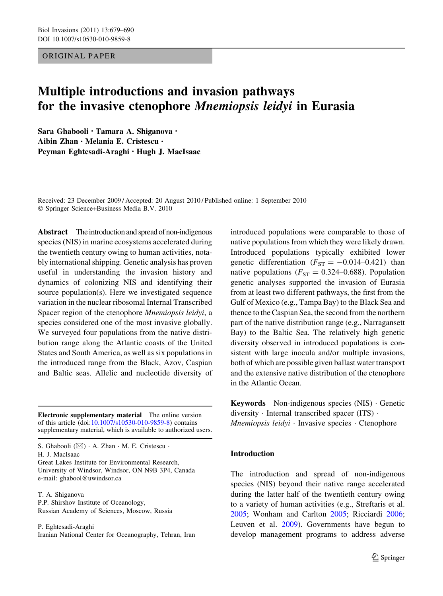## ORIGINAL PAPER

# Multiple introductions and invasion pathways for the invasive ctenophore Mnemiopsis leidyi in Eurasia

Sara Ghabooli • Tamara A. Shiganova • Aibin Zhan • Melania E. Cristescu • Peyman Eghtesadi-Araghi • Hugh J. MacIsaac

Received: 23 December 2009 / Accepted: 20 August 2010 / Published online: 1 September 2010 © Springer Science+Business Media B.V. 2010

Abstract The introduction and spread of non-indigenous species (NIS) in marine ecosystems accelerated during the twentieth century owing to human activities, notably international shipping. Genetic analysis has proven useful in understanding the invasion history and dynamics of colonizing NIS and identifying their source population(s). Here we investigated sequence variation in the nuclear ribosomal Internal Transcribed Spacer region of the ctenophore Mnemiopsis leidyi, a species considered one of the most invasive globally. We surveyed four populations from the native distribution range along the Atlantic coasts of the United States and South America, as well as six populations in the introduced range from the Black, Azov, Caspian and Baltic seas. Allelic and nucleotide diversity of

Electronic supplementary material The online version of this article (doi[:10.1007/s10530-010-9859-8\)](http://dx.doi.org/10.1007/s10530-010-9859-8) contains supplementary material, which is available to authorized users.

S. Ghabooli  $(\boxtimes) \cdot A$ . Zhan  $\cdot M$ . E. Cristescu  $\cdot$ H. J. MacIsaac

Great Lakes Institute for Environmental Research, University of Windsor, Windsor, ON N9B 3P4, Canada e-mail: ghabool@uwindsor.ca

T. A. Shiganova P.P. Shirshov Institute of Oceanology, Russian Academy of Sciences, Moscow, Russia

P. Eghtesadi-Araghi Iranian National Center for Oceanography, Tehran, Iran introduced populations were comparable to those of native populations from which they were likely drawn. Introduced populations typically exhibited lower genetic differentiation  $(F_{ST} = -0.014 - 0.421)$  than native populations ( $F_{ST} = 0.324 - 0.688$ ). Population genetic analyses supported the invasion of Eurasia from at least two different pathways, the first from the Gulf of Mexico (e.g., Tampa Bay) to the Black Sea and thence to the Caspian Sea, the second from the northern part of the native distribution range (e.g., Narragansett Bay) to the Baltic Sea. The relatively high genetic diversity observed in introduced populations is consistent with large inocula and/or multiple invasions, both of which are possible given ballast water transport and the extensive native distribution of the ctenophore in the Atlantic Ocean.

Keywords Non-indigenous species (NIS) - Genetic diversity - Internal transcribed spacer (ITS) - Mnemiopsis leidyi · Invasive species · Ctenophore

# Introduction

The introduction and spread of non-indigenous species (NIS) beyond their native range accelerated during the latter half of the twentieth century owing to a variety of human activities (e.g., Streftaris et al. [2005;](#page-10-0) Wonham and Carlton [2005](#page-11-0); Ricciardi [2006](#page-10-0); Leuven et al. [2009](#page-10-0)). Governments have begun to develop management programs to address adverse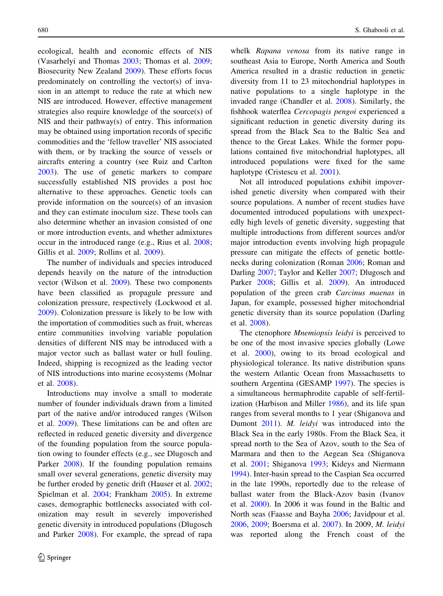ecological, health and economic effects of NIS (Vasarhelyi and Thomas [2003;](#page-11-0) Thomas et al. [2009](#page-11-0); Biosecurity New Zealand [2009](#page-9-0)). These efforts focus predominately on controlling the vector(s) of invasion in an attempt to reduce the rate at which new NIS are introduced. However, effective management strategies also require knowledge of the source(s) of NIS and their pathway(s) of entry. This information may be obtained using importation records of specific commodities and the 'fellow traveller' NIS associated with them, or by tracking the source of vessels or aircrafts entering a country (see Ruiz and Carlton [2003\)](#page-10-0). The use of genetic markers to compare successfully established NIS provides a post hoc alternative to these approaches. Genetic tools can provide information on the source(s) of an invasion and they can estimate inoculum size. These tools can also determine whether an invasion consisted of one or more introduction events, and whether admixtures occur in the introduced range (e.g., Rius et al. [2008](#page-10-0); Gillis et al. [2009;](#page-9-0) Rollins et al. [2009](#page-10-0)).

The number of individuals and species introduced depends heavily on the nature of the introduction vector (Wilson et al. [2009](#page-11-0)). These two components have been classified as propagule pressure and colonization pressure, respectively (Lockwood et al. [2009\)](#page-10-0). Colonization pressure is likely to be low with the importation of commodities such as fruit, whereas entire communities involving variable population densities of different NIS may be introduced with a major vector such as ballast water or hull fouling. Indeed, shipping is recognized as the leading vector of NIS introductions into marine ecosystems (Molnar et al. [2008](#page-10-0)).

Introductions may involve a small to moderate number of founder individuals drawn from a limited part of the native and/or introduced ranges (Wilson et al. [2009\)](#page-11-0). These limitations can be and often are reflected in reduced genetic diversity and divergence of the founding population from the source population owing to founder effects (e.g., see Dlugosch and Parker [2008](#page-9-0)). If the founding population remains small over several generations, genetic diversity may be further eroded by genetic drift (Hauser et al. [2002](#page-9-0); Spielman et al. [2004;](#page-10-0) Frankham [2005\)](#page-9-0). In extreme cases, demographic bottlenecks associated with colonization may result in severely impoverished genetic diversity in introduced populations (Dlugosch and Parker [2008\)](#page-9-0). For example, the spread of rapa whelk Rapana venosa from its native range in southeast Asia to Europe, North America and South America resulted in a drastic reduction in genetic diversity from 11 to 23 mitochondrial haplotypes in native populations to a single haplotype in the invaded range (Chandler et al. [2008\)](#page-9-0). Similarly, the fishhook waterflea Cercopagis pengoi experienced a significant reduction in genetic diversity during its spread from the Black Sea to the Baltic Sea and thence to the Great Lakes. While the former populations contained five mitochondrial haplotypes, all introduced populations were fixed for the same haplotype (Cristescu et al. [2001](#page-9-0)).

Not all introduced populations exhibit impoverished genetic diversity when compared with their source populations. A number of recent studies have documented introduced populations with unexpectedly high levels of genetic diversity, suggesting that multiple introductions from different sources and/or major introduction events involving high propagule pressure can mitigate the effects of genetic bottlenecks during colonization (Roman [2006;](#page-10-0) Roman and Darling [2007](#page-10-0); Taylor and Keller [2007;](#page-11-0) Dlugosch and Parker [2008;](#page-9-0) Gillis et al. [2009](#page-9-0)). An introduced population of the green crab Carcinus maenas in Japan, for example, possessed higher mitochondrial genetic diversity than its source population (Darling et al. [2008\)](#page-9-0).

The ctenophore *Mnemiopsis leidyi* is perceived to be one of the most invasive species globally (Lowe et al. [2000\)](#page-10-0), owing to its broad ecological and physiological tolerance. Its native distribution spans the western Atlantic Ocean from Massachusetts to southern Argentina (GESAMP [1997](#page-9-0)). The species is a simultaneous hermaphrodite capable of self-fertilization (Harbison and Miller [1986](#page-9-0)), and its life span ranges from several months to 1 year (Shiganova and Dumont [2011\)](#page-10-0). M. leidyi was introduced into the Black Sea in the early 1980s. From the Black Sea, it spread north to the Sea of Azov, south to the Sea of Marmara and then to the Aegean Sea (Shiganova et al. [2001;](#page-10-0) Shiganova [1993;](#page-10-0) Kideys and Niermann [1994\)](#page-10-0). Inter-basin spread to the Caspian Sea occurred in the late 1990s, reportedly due to the release of ballast water from the Black-Azov basin (Ivanov et al. [2000](#page-9-0)). In 2006 it was found in the Baltic and North seas (Faasse and Bayha [2006](#page-9-0); Javidpour et al. [2006,](#page-9-0) [2009](#page-9-0); Boersma et al. [2007](#page-9-0)). In 2009, M. leidyi was reported along the French coast of the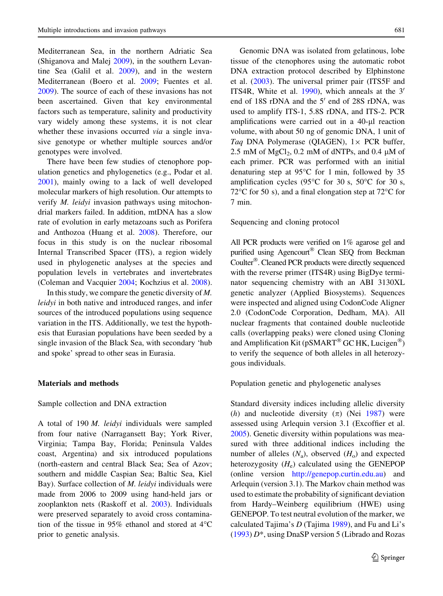Mediterranean Sea, in the northern Adriatic Sea (Shiganova and Malej [2009](#page-10-0)), in the southern Levantine Sea (Galil et al. [2009\)](#page-9-0), and in the western Mediterranean (Boero et al. [2009;](#page-9-0) Fuentes et al. [2009\)](#page-9-0). The source of each of these invasions has not been ascertained. Given that key environmental factors such as temperature, salinity and productivity vary widely among these systems, it is not clear whether these invasions occurred *via* a single invasive genotype or whether multiple sources and/or genotypes were involved.

There have been few studies of ctenophore population genetics and phylogenetics (e.g., Podar et al. [2001\)](#page-10-0), mainly owing to a lack of well developed molecular markers of high resolution. Our attempts to verify M. leidyi invasion pathways using mitochondrial markers failed. In addition, mtDNA has a slow rate of evolution in early metazoans such as Porifera and Anthozoa (Huang et al. [2008](#page-9-0)). Therefore, our focus in this study is on the nuclear ribosomal Internal Transcribed Spacer (ITS), a region widely used in phylogenetic analyses at the species and population levels in vertebrates and invertebrates (Coleman and Vacquier [2004;](#page-9-0) Kochzius et al. [2008](#page-10-0)).

In this study, we compare the genetic diversity of M. leidyi in both native and introduced ranges, and infer sources of the introduced populations using sequence variation in the ITS. Additionally, we test the hypothesis that Eurasian populations have been seeded by a single invasion of the Black Sea, with secondary 'hub and spoke' spread to other seas in Eurasia.

# Materials and methods

# Sample collection and DNA extraction

A total of 190 M. leidyi individuals were sampled from four native (Narragansett Bay; York River, Virginia; Tampa Bay, Florida; Peninsula Valdes coast, Argentina) and six introduced populations (north-eastern and central Black Sea; Sea of Azov; southern and middle Caspian Sea; Baltic Sea, Kiel Bay). Surface collection of M. leidyi individuals were made from 2006 to 2009 using hand-held jars or zooplankton nets (Raskoff et al. [2003\)](#page-10-0). Individuals were preserved separately to avoid cross contamination of the tissue in 95% ethanol and stored at  $4^{\circ}$ C prior to genetic analysis.

Genomic DNA was isolated from gelatinous, lobe tissue of the ctenophores using the automatic robot DNA extraction protocol described by Elphinstone et al. [\(2003](#page-9-0)). The universal primer pair (ITS5F and ITS4R, White et al.  $1990$ ), which anneals at the 3' end of 18S rDNA and the  $5'$  end of 28S rDNA, was used to amplify ITS-1, 5.8S rDNA, and ITS-2. PCR amplifications were carried out in a 40-µl reaction volume, with about 50 ng of genomic DNA, 1 unit of Taq DNA Polymerase (QIAGEN),  $1 \times$  PCR buffer, 2.5 mM of  $MgCl<sub>2</sub>$ , 0.2 mM of dNTPs, and 0.4 µM of each primer. PCR was performed with an initial denaturing step at  $95^{\circ}$ C for 1 min, followed by 35 amplification cycles (95 $\degree$ C for 30 s, 50 $\degree$ C for 30 s, 72 $\degree$ C for 50 s), and a final elongation step at 72 $\degree$ C for 7 min.

#### Sequencing and cloning protocol

All PCR products were verified on 1% agarose gel and purified using Agencourt<sup>®</sup> Clean SEQ from Beckman Coulter<sup>®</sup>. Cleaned PCR products were directly sequenced with the reverse primer (ITS4R) using BigDye terminator sequencing chemistry with an ABI 3130XL genetic analyzer (Applied Biosystems). Sequences were inspected and aligned using CodonCode Aligner 2.0 (CodonCode Corporation, Dedham, MA). All nuclear fragments that contained double nucleotide calls (overlapping peaks) were cloned using Cloning and Amplification Kit (pSMART<sup>®</sup> GC HK, Lucigen<sup>®</sup>) to verify the sequence of both alleles in all heterozygous individuals.

## Population genetic and phylogenetic analyses

Standard diversity indices including allelic diversity (h) and nucleotide diversity  $(\pi)$  (Nei [1987\)](#page-10-0) were assessed using Arlequin version 3.1 (Excoffier et al. [2005\)](#page-9-0). Genetic diversity within populations was measured with three additional indices including the number of alleles  $(N_a)$ , observed  $(H_o)$  and expected heterozygosity  $(H_e)$  calculated using the GENEPOP (online version <http://genepop.curtin.edu.au>) and Arlequin (version 3.1). The Markov chain method was used to estimate the probability of significant deviation from Hardy–Weinberg equilibrium (HWE) using GENEPOP. To test neutral evolution of the marker, we calculated Tajima's  $D$  (Tajima [1989\)](#page-10-0), and Fu and Li's  $(1993) D^*$  $(1993) D^*$ , using DnaSP version 5 (Librado and Rozas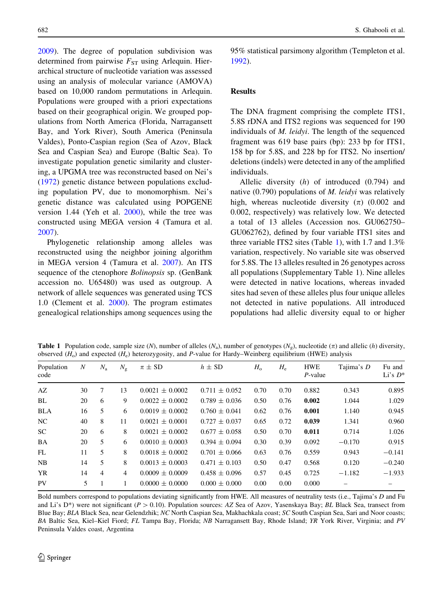<span id="page-3-0"></span>[2009\)](#page-10-0). The degree of population subdivision was determined from pairwise  $F_{ST}$  using Arlequin. Hierarchical structure of nucleotide variation was assessed using an analysis of molecular variance (AMOVA) based on 10,000 random permutations in Arlequin. Populations were grouped with a priori expectations based on their geographical origin. We grouped populations from North America (Florida, Narragansett Bay, and York River), South America (Peninsula Valdes), Ponto-Caspian region (Sea of Azov, Black Sea and Caspian Sea) and Europe (Baltic Sea). To investigate population genetic similarity and clustering, a UPGMA tree was reconstructed based on Nei's [\(1972](#page-10-0)) genetic distance between populations excluding population PV, due to monomorphism. Nei's genetic distance was calculated using POPGENE version 1.44 (Yeh et al. [2000](#page-11-0)), while the tree was constructed using MEGA version 4 (Tamura et al. [2007\)](#page-10-0).

Phylogenetic relationship among alleles was reconstructed using the neighbor joining algorithm in MEGA version 4 (Tamura et al. [2007](#page-10-0)). An ITS sequence of the ctenophore Bolinopsis sp. (GenBank accession no. U65480) was used as outgroup. A network of allele sequences was generated using TCS 1.0 (Clement et al. [2000](#page-9-0)). The program estimates genealogical relationships among sequences using the 95% statistical parsimony algorithm (Templeton et al. [1992\)](#page-11-0).

#### Results

The DNA fragment comprising the complete ITS1, 5.8S rDNA and ITS2 regions was sequenced for 190 individuals of M. leidyi. The length of the sequenced fragment was 619 base pairs (bp): 233 bp for ITS1, 158 bp for 5.8S, and 228 bp for ITS2. No insertion/ deletions (indels) were detected in any of the amplified individuals.

Allelic diversity (h) of introduced (0.794) and native (0.790) populations of M. leidyi was relatively high, whereas nucleotide diversity  $(\pi)$  (0.002 and 0.002, respectively) was relatively low. We detected a total of 13 alleles (Accession nos. GU062750– GU062762), defined by four variable ITS1 sites and three variable ITS2 sites (Table 1), with 1.7 and 1.3% variation, respectively. No variable site was observed for 5.8S. The 13 alleles resulted in 26 genotypes across all populations (Supplementary Table 1). Nine alleles were detected in native locations, whereas invaded sites had seven of these alleles plus four unique alleles not detected in native populations. All introduced populations had allelic diversity equal to or higher

**Table 1** Population code, sample size (N), number of alleles (N<sub>a</sub>), number of genotypes (N<sub>g</sub>), nucleotide ( $\pi$ ) and allelic (h) diversity, observed  $(H_0)$  and expected  $(H_e)$  heterozygosity, and P-value for Hardy–Weinberg equilibrium (HWE) analysis

| Population | $\boldsymbol{N}$ | $N_{\rm a}$    | $N_{\rm g}$    | $\pi \pm SD$        | $h \pm SD$        | $H_{\rm o}$ | $H_{\rm e}$ | <b>HWE</b> | Tajima's D | Fu and     |  |
|------------|------------------|----------------|----------------|---------------------|-------------------|-------------|-------------|------------|------------|------------|--|
| code       |                  |                |                |                     |                   |             |             | $P$ -value |            | Li's $D^*$ |  |
| AZ         | 30               | 7              | 13             | $0.0021 \pm 0.0002$ | $0.711 \pm 0.052$ | 0.70        | 0.70        | 0.882      | 0.343      | 0.895      |  |
| BL         | 20               | 6              | 9              | $0.0022 \pm 0.0002$ | $0.789 \pm 0.036$ | 0.50        | 0.76        | 0.002      | 1.044      | 1.029      |  |
| <b>BLA</b> | 16               | 5              | 6              | $0.0019 \pm 0.0002$ | $0.760 \pm 0.041$ | 0.62        | 0.76        | 0.001      | 1.140      | 0.945      |  |
| NC.        | 40               | 8              | 11             | $0.0021 \pm 0.0001$ | $0.727 \pm 0.037$ | 0.65        | 0.72        | 0.039      | 1.341      | 0.960      |  |
| <b>SC</b>  | 20               | 6              | 8              | $0.0021 \pm 0.0002$ | $0.677 \pm 0.058$ | 0.50        | 0.70        | 0.011      | 0.714      | 1.026      |  |
| BA         | 20               | 5              | 6              | $0.0010 \pm 0.0003$ | $0.394 \pm 0.094$ | 0.30        | 0.39        | 0.092      | $-0.170$   | 0.915      |  |
| FL         | 11               | 5              | 8              | $0.0018 \pm 0.0002$ | $0.701 \pm 0.066$ | 0.63        | 0.76        | 0.559      | 0.943      | $-0.141$   |  |
| <b>NB</b>  | 14               | 5              | 8              | $0.0013 \pm 0.0003$ | $0.471 \pm 0.103$ | 0.50        | 0.47        | 0.568      | 0.120      | $-0.240$   |  |
| <b>YR</b>  | 14               | $\overline{4}$ | $\overline{4}$ | $0.0009 \pm 0.0009$ | $0.458 \pm 0.096$ | 0.57        | 0.45        | 0.725      | $-1.182$   | $-1.933$   |  |
| PV         | 5                |                |                | $0.0000 \pm 0.0000$ | $0.000 \pm 0.000$ | 0.00        | 0.00        | 0.000      |            |            |  |

Bold numbers correspond to populations deviating significantly from HWE. All measures of neutrality tests (i.e., Tajima's D and Fu and Li's D\*) were not significant ( $P > 0.10$ ). Population sources: AZ Sea of Azov, Yasenskaya Bay; BL Black Sea, transect from Blue Bay; BLA Black Sea, near Gelendzhik; NC North Caspian Sea, Makhachkala coast; SC South Caspian Sea, Sari and Noor coasts; BA Baltic Sea, Kiel–Kiel Fiord; FL Tampa Bay, Florida; NB Narragansett Bay, Rhode Island; YR York River, Virginia; and PV Peninsula Valdes coast, Argentina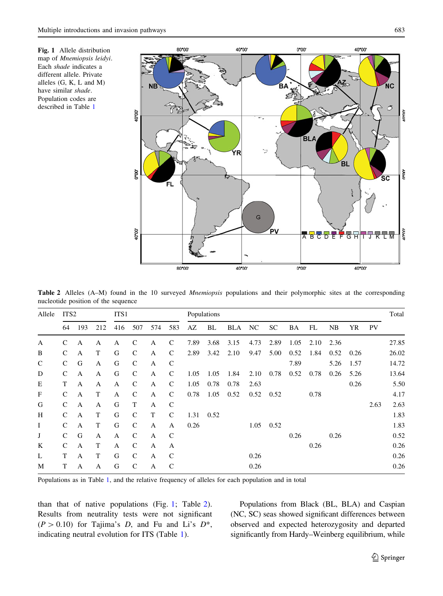<span id="page-4-0"></span>Fig. 1 Allele distribution map of Mnemiopsis leidyi. Each shade indicates a different allele. Private alleles (G, K, L and M) have similar shade. Population codes are described in Table [1](#page-3-0)



Table 2 Alleles (A–M) found in the 10 surveyed *Mnemiopsis* populations and their polymorphic sites at the corresponding nucleotide position of the sequence

| Allele       | ITS <sub>2</sub> |              | ITS1 |              |               | Populations |               |      |      |      |      |           |      |      | Total |      |      |       |
|--------------|------------------|--------------|------|--------------|---------------|-------------|---------------|------|------|------|------|-----------|------|------|-------|------|------|-------|
|              | 64               | 193          | 212  | 416          | 507           | 574         | 583           | AZ   | BL   | BLA  | NC   | <b>SC</b> | BA   | FL   | NB    | YR   | PV   |       |
| A            | $\mathcal{C}$    | A            | A    | A            | C             | A           | C             | 7.89 | 3.68 | 3.15 | 4.73 | 2.89      | 1.05 | 2.10 | 2.36  |      |      | 27.85 |
| B            | $\mathsf{C}$     | A            | T    | G            | $\mathcal{C}$ | A           | $\mathcal{C}$ | 2.89 | 3.42 | 2.10 | 9.47 | 5.00      | 0.52 | 1.84 | 0.52  | 0.26 |      | 26.02 |
| $\mathsf{C}$ | $\mathsf{C}$     | G            | A    | G            | $\mathcal{C}$ | A           | C             |      |      |      |      |           | 7.89 |      | 5.26  | 1.57 |      | 14.72 |
| D            | $\mathcal{C}$    | A            | A    | G            | $\mathcal{C}$ | A           | $\mathcal{C}$ | 1.05 | 1.05 | 1.84 | 2.10 | 0.78      | 0.52 | 0.78 | 0.26  | 5.26 |      | 13.64 |
| Ε            | T                | A            | A    | $\mathbf{A}$ | $\mathcal{C}$ | A           | C             | 1.05 | 0.78 | 0.78 | 2.63 |           |      |      |       | 0.26 |      | 5.50  |
| F            | $\mathsf{C}$     | $\mathbf{A}$ | T    | A            | $\mathcal{C}$ | A           | $\mathcal{C}$ | 0.78 | 1.05 | 0.52 | 0.52 | 0.52      |      | 0.78 |       |      |      | 4.17  |
| G            | $\mathsf{C}$     | A            | A    | G            | T             | A           | C             |      |      |      |      |           |      |      |       |      | 2.63 | 2.63  |
| H            | $\mathcal{C}$    | $\mathbf{A}$ | T    | G            | $\mathcal{C}$ | T           | $\mathcal{C}$ | 1.31 | 0.52 |      |      |           |      |      |       |      |      | 1.83  |
| Ι            | $\mathsf{C}$     | A            | T    | G            | $\mathcal{C}$ | A           | A             | 0.26 |      |      | 1.05 | 0.52      |      |      |       |      |      | 1.83  |
| J            | $\mathsf{C}$     | G            | A    | A            | $\mathcal{C}$ | A           | $\mathcal{C}$ |      |      |      |      |           | 0.26 |      | 0.26  |      |      | 0.52  |
| K            | $\mathcal{C}$    | A            | T    | A            | $\mathcal{C}$ | A           | A             |      |      |      |      |           |      | 0.26 |       |      |      | 0.26  |
| L            | T                | A            | T    | G            | $\mathcal{C}$ | A           | $\mathcal{C}$ |      |      |      | 0.26 |           |      |      |       |      |      | 0.26  |
| M            | T                | A            | A    | G            | C             | A           | C             |      |      |      | 0.26 |           |      |      |       |      |      | 0.26  |

Populations as in Table [1](#page-3-0), and the relative frequency of alleles for each population and in total

than that of native populations (Fig. 1; Table 2). Results from neutrality tests were not significant  $(P > 0.10)$  for Tajima's D, and Fu and Li's D<sup>\*</sup>, indicating neutral evolution for ITS (Table [1\)](#page-3-0).

Populations from Black (BL, BLA) and Caspian (NC, SC) seas showed significant differences between observed and expected heterozygosity and departed significantly from Hardy–Weinberg equilibrium, while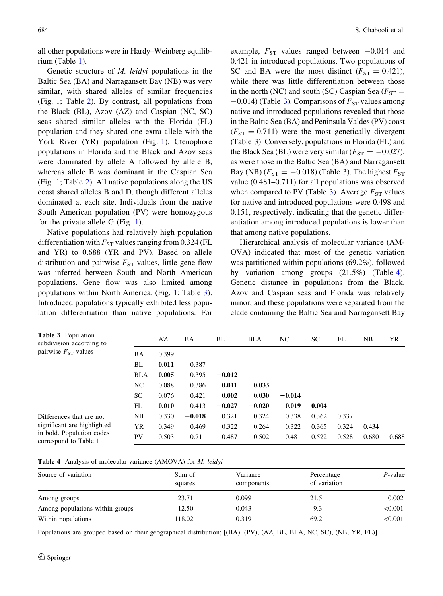all other populations were in Hardy–Weinberg equilibrium (Table [1\)](#page-3-0).

Genetic structure of M. leidyi populations in the Baltic Sea (BA) and Narragansett Bay (NB) was very similar, with shared alleles of similar frequencies (Fig. [1](#page-4-0); Table [2](#page-4-0)). By contrast, all populations from the Black (BL), Azov (AZ) and Caspian (NC, SC) seas shared similar alleles with the Florida (FL) population and they shared one extra allele with the York River (YR) population (Fig. [1\)](#page-4-0). Ctenophore populations in Florida and the Black and Azov seas were dominated by allele A followed by allele B, whereas allele B was dominant in the Caspian Sea (Fig. [1](#page-4-0); Table [2\)](#page-4-0). All native populations along the US coast shared alleles B and D, though different alleles dominated at each site. Individuals from the native South American population (PV) were homozygous for the private allele G (Fig. [1\)](#page-4-0).

Native populations had relatively high population differentiation with  $F_{ST}$  values ranging from 0.324 (FL and YR) to 0.688 (YR and PV). Based on allele distribution and pairwise  $F_{ST}$  values, little gene flow was inferred between South and North American populations. Gene flow was also limited among populations within North America. (Fig. [1](#page-4-0); Table 3). Introduced populations typically exhibited less population differentiation than native populations. For

<span id="page-5-0"></span>684 S. Ghabooli et al.

example,  $F_{ST}$  values ranged between  $-0.014$  and 0.421 in introduced populations. Two populations of SC and BA were the most distinct  $(F_{ST} = 0.421)$ , while there was little differentiation between those in the north (NC) and south (SC) Caspian Sea ( $F_{ST}$  =  $-0.014$ ) (Table 3). Comparisons of  $F_{ST}$  values among native and introduced populations revealed that those in the Baltic Sea (BA) and Peninsula Valdes (PV) coast  $(F_{ST} = 0.711)$  were the most genetically divergent (Table 3). Conversely, populations in Florida (FL) and the Black Sea (BL) were very similar ( $F_{ST} = -0.027$ ), as were those in the Baltic Sea (BA) and Narragansett Bay (NB) ( $F_{ST} = -0.018$ ) (Table 3). The highest  $F_{ST}$ value (0.481–0.711) for all populations was observed when compared to PV (Table 3). Average  $F_{ST}$  values for native and introduced populations were 0.498 and 0.151, respectively, indicating that the genetic differentiation among introduced populations is lower than that among native populations.

Hierarchical analysis of molecular variance (AM-OVA) indicated that most of the genetic variation was partitioned within populations (69.2%), followed by variation among groups (21.5%) (Table 4). Genetic distance in populations from the Black, Azov and Caspian seas and Florida was relatively minor, and these populations were separated from the clade containing the Baltic Sea and Narragansett Bay

| <b>Table 3</b> Population<br>subdivision according to |            | AZ    | BA       | BL       | <b>BLA</b> | NC       | SC    | FL    | NB    | YR    |
|-------------------------------------------------------|------------|-------|----------|----------|------------|----------|-------|-------|-------|-------|
| pairwise $F_{ST}$ values                              | BA         | 0.399 |          |          |            |          |       |       |       |       |
|                                                       | BL         | 0.011 | 0.387    |          |            |          |       |       |       |       |
|                                                       | <b>BLA</b> | 0.005 | 0.395    | $-0.012$ |            |          |       |       |       |       |
|                                                       | NC         | 0.088 | 0.386    | 0.011    | 0.033      |          |       |       |       |       |
|                                                       | <b>SC</b>  | 0.076 | 0.421    | 0.002    | 0.030      | $-0.014$ |       |       |       |       |
|                                                       | FL         | 0.010 | 0.413    | $-0.027$ | $-0.020$   | 0.019    | 0.004 |       |       |       |
| Differences that are not                              | <b>NB</b>  | 0.330 | $-0.018$ | 0.321    | 0.324      | 0.338    | 0.362 | 0.337 |       |       |
| significant are highlighted                           | YR         | 0.349 | 0.469    | 0.322    | 0.264      | 0.322    | 0.365 | 0.324 | 0.434 |       |
| in bold. Population codes<br>correspond to Table 1    | PV         | 0.503 | 0.711    | 0.487    | 0.502      | 0.481    | 0.522 | 0.528 | 0.680 | 0.688 |

|  |  | Table 4 Analysis of molecular variance (AMOVA) for M. leidyi |  |  |  |  |  |
|--|--|--------------------------------------------------------------|--|--|--|--|--|
|--|--|--------------------------------------------------------------|--|--|--|--|--|

| Source of variation             | Sum of<br>squares | Variance<br>components | Percentage<br>of variation | $P$ -value |
|---------------------------------|-------------------|------------------------|----------------------------|------------|
| Among groups                    | 23.71             | 0.099                  | 21.5                       | 0.002      |
| Among populations within groups | 12.50             | 0.043                  | 9.3                        | < 0.001    |
| Within populations              | 118.02            | 0.319                  | 69.2                       | < 0.001    |

Populations are grouped based on their geographical distribution; [(BA), (PV), (AZ, BL, BLA, NC, SC), (NB, YR, FL)]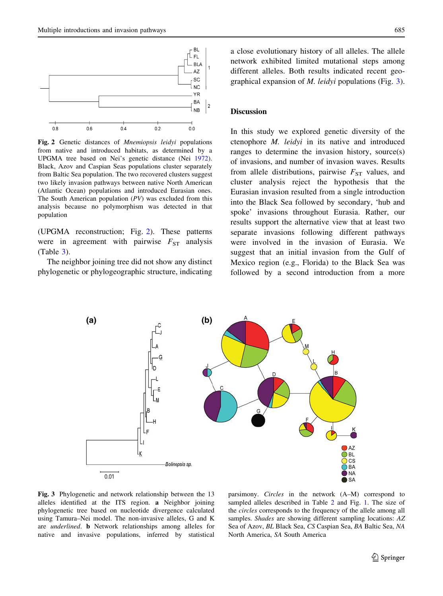<span id="page-6-0"></span>

Fig. 2 Genetic distances of Mnemiopsis leidyi populations from native and introduced habitats, as determined by a UPGMA tree based on Nei's genetic distance (Nei [1972](#page-10-0)). Black, Azov and Caspian Seas populations cluster separately from Baltic Sea population. The two recovered clusters suggest two likely invasion pathways between native North American (Atlantic Ocean) populations and introduced Eurasian ones. The South American population (PV) was excluded from this analysis because no polymorphism was detected in that population

(UPGMA reconstruction; Fig. 2). These patterns were in agreement with pairwise  $F_{ST}$  analysis  $(Table 3)$  $(Table 3)$  $(Table 3)$ .

The neighbor joining tree did not show any distinct phylogenetic or phylogeographic structure, indicating a close evolutionary history of all alleles. The allele network exhibited limited mutational steps among different alleles. Both results indicated recent geographical expansion of M. leidyi populations (Fig. 3).

#### **Discussion**

In this study we explored genetic diversity of the ctenophore M. leidyi in its native and introduced ranges to determine the invasion history, source(s) of invasions, and number of invasion waves. Results from allele distributions, pairwise  $F_{ST}$  values, and cluster analysis reject the hypothesis that the Eurasian invasion resulted from a single introduction into the Black Sea followed by secondary, 'hub and spoke' invasions throughout Eurasia. Rather, our results support the alternative view that at least two separate invasions following different pathways were involved in the invasion of Eurasia. We suggest that an initial invasion from the Gulf of Mexico region (e.g., Florida) to the Black Sea was followed by a second introduction from a more



Fig. 3 Phylogenetic and network relationship between the 13 alleles identified at the ITS region. a Neighbor joining phylogenetic tree based on nucleotide divergence calculated using Tamura–Nei model. The non-invasive alleles, G and K are underlined. b Network relationships among alleles for native and invasive populations, inferred by statistical

parsimony. Circles in the network (A–M) correspond to sampled alleles described in Table [2](#page-4-0) and Fig. [1.](#page-4-0) The size of the circles corresponds to the frequency of the allele among all samples. *Shades* are showing different sampling locations: AZ Sea of Azov, BL Black Sea, CS Caspian Sea, BA Baltic Sea, NA North America, SA South America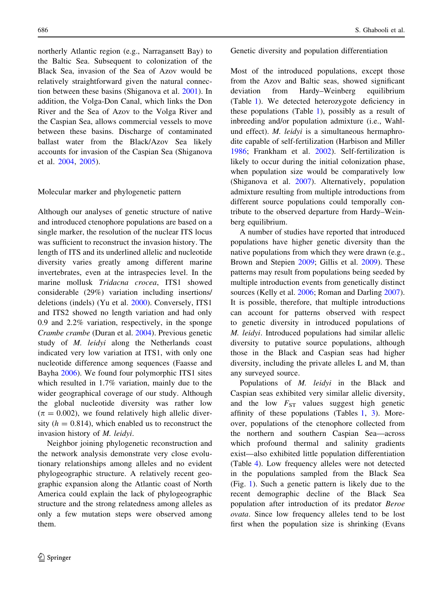northerly Atlantic region (e.g., Narragansett Bay) to the Baltic Sea. Subsequent to colonization of the Black Sea, invasion of the Sea of Azov would be relatively straightforward given the natural connection between these basins (Shiganova et al. [2001](#page-10-0)). In addition, the Volga-Don Canal, which links the Don River and the Sea of Azov to the Volga River and the Caspian Sea, allows commercial vessels to move between these basins. Discharge of contaminated ballast water from the Black/Azov Sea likely accounts for invasion of the Caspian Sea (Shiganova et al. [2004,](#page-10-0) [2005](#page-10-0)).

#### Molecular marker and phylogenetic pattern

Although our analyses of genetic structure of native and introduced ctenophore populations are based on a single marker, the resolution of the nuclear ITS locus was sufficient to reconstruct the invasion history. The length of ITS and its underlined allelic and nucleotide diversity varies greatly among different marine invertebrates, even at the intraspecies level. In the marine mollusk *Tridacna crocea*, ITS1 showed considerable (29%) variation including insertions/ deletions (indels) (Yu et al. [2000\)](#page-11-0). Conversely, ITS1 and ITS2 showed no length variation and had only 0.9 and 2.2% variation, respectively, in the sponge Crambe crambe (Duran et al. [2004](#page-9-0)). Previous genetic study of M. leidyi along the Netherlands coast indicated very low variation at ITS1, with only one nucleotide difference among sequences (Faasse and Bayha [2006](#page-9-0)). We found four polymorphic ITS1 sites which resulted in 1.7% variation, mainly due to the wider geographical coverage of our study. Although the global nucleotide diversity was rather low  $(\pi = 0.002)$ , we found relatively high allelic diversity  $(h = 0.814)$ , which enabled us to reconstruct the invasion history of M. leidyi.

Neighbor joining phylogenetic reconstruction and the network analysis demonstrate very close evolutionary relationships among alleles and no evident phylogeographic structure. A relatively recent geographic expansion along the Atlantic coast of North America could explain the lack of phylogeographic structure and the strong relatedness among alleles as only a few mutation steps were observed among them.

Genetic diversity and population differentiation

Most of the introduced populations, except those from the Azov and Baltic seas, showed significant deviation from Hardy–Weinberg equilibrium (Table [1](#page-3-0)). We detected heterozygote deficiency in these populations (Table [1\)](#page-3-0), possibly as a result of inbreeding and/or population admixture (i.e., Wahlund effect). M. leidyi is a simultaneous hermaphrodite capable of self-fertilization (Harbison and Miller [1986;](#page-9-0) Frankham et al. [2002](#page-9-0)). Self-fertilization is likely to occur during the initial colonization phase, when population size would be comparatively low (Shiganova et al. [2007\)](#page-10-0). Alternatively, population admixture resulting from multiple introductions from different source populations could temporally contribute to the observed departure from Hardy–Weinberg equilibrium.

A number of studies have reported that introduced populations have higher genetic diversity than the native populations from which they were drawn (e.g., Brown and Stepien [2009;](#page-9-0) Gillis et al. [2009\)](#page-9-0). These patterns may result from populations being seeded by multiple introduction events from genetically distinct sources (Kelly et al. [2006;](#page-9-0) Roman and Darling [2007](#page-10-0)). It is possible, therefore, that multiple introductions can account for patterns observed with respect to genetic diversity in introduced populations of M. leidyi. Introduced populations had similar allelic diversity to putative source populations, although those in the Black and Caspian seas had higher diversity, including the private alleles L and M, than any surveyed source.

Populations of M. leidyi in the Black and Caspian seas exhibited very similar allelic diversity, and the low  $F_{ST}$  values suggest high genetic affinity of these populations (Tables [1,](#page-3-0) [3\)](#page-5-0). Moreover, populations of the ctenophore collected from the northern and southern Caspian Sea—across which profound thermal and salinity gradients exist—also exhibited little population differentiation (Table [4](#page-5-0)). Low frequency alleles were not detected in the populations sampled from the Black Sea (Fig. [1](#page-4-0)). Such a genetic pattern is likely due to the recent demographic decline of the Black Sea population after introduction of its predator Beroe ovata. Since low frequency alleles tend to be lost first when the population size is shrinking (Evans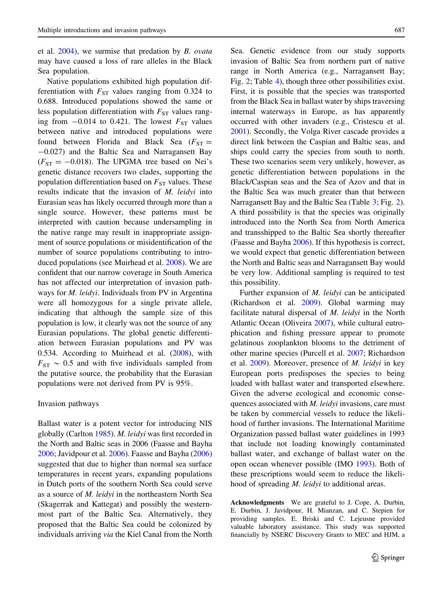et al. [2004\)](#page-9-0), we surmise that predation by B. ovata may have caused a loss of rare alleles in the Black Sea population.

Native populations exhibited high population differentiation with  $F_{ST}$  values ranging from 0.324 to 0.688. Introduced populations showed the same or less population differentiation with  $F_{ST}$  values ranging from  $-0.014$  to 0.421. The lowest  $F_{ST}$  values between native and introduced populations were found between Florida and Black Sea ( $F_{ST}$  = -0.027) and the Baltic Sea and Narragansett Bay  $(F_{ST} = -0.018)$ . The UPGMA tree based on Nei's genetic distance recovers two clades, supporting the population differentiation based on  $F_{ST}$  values. These results indicate that the invasion of M. leidyi into Eurasian seas has likely occurred through more than a single source. However, these patterns must be interpreted with caution because undersampling in the native range may result in inappropriate assignment of source populations or misidentification of the number of source populations contributing to introduced populations (see Muirhead et al. [2008\)](#page-10-0). We are confident that our narrow coverage in South America has not affected our interpretation of invasion pathways for M. leidyi. Individuals from PV in Argentina were all homozygous for a single private allele, indicating that although the sample size of this population is low, it clearly was not the source of any Eurasian populations. The global genetic differentiation between Eurasian populations and PV was 0.534. According to Muirhead et al. [\(2008](#page-10-0)), with  $F_{ST} \sim 0.5$  and with five individuals sampled from the putative source, the probability that the Eurasian populations were not derived from PV is 95%.

#### Invasion pathways

Ballast water is a potent vector for introducing NIS globally (Carlton [1985](#page-9-0)). M. leidyi was first recorded in the North and Baltic seas in 2006 (Faasse and Bayha [2006;](#page-9-0) Javidpour et al. [2006\)](#page-9-0). Faasse and Bayha ([2006\)](#page-9-0) suggested that due to higher than normal sea surface temperatures in recent years, expanding populations in Dutch ports of the southern North Sea could serve as a source of M. leidyi in the northeastern North Sea (Skagerrak and Kattegat) and possibly the westernmost part of the Baltic Sea. Alternatively, they proposed that the Baltic Sea could be colonized by individuals arriving via the Kiel Canal from the North Sea. Genetic evidence from our study supports invasion of Baltic Sea from northern part of native range in North America (e.g., Narragansett Bay; Fig. [2;](#page-6-0) Table [4](#page-5-0)), though three other possibilities exist. First, it is possible that the species was transported from the Black Sea in ballast water by ships traversing internal waterways in Europe, as has apparently occurred with other invaders (e.g., Cristescu et al. [2001\)](#page-9-0). Secondly, the Volga River cascade provides a direct link between the Caspian and Baltic seas, and ships could carry the species from south to north. These two scenarios seem very unlikely, however, as genetic differentiation between populations in the Black/Caspian seas and the Sea of Azov and that in the Baltic Sea was much greater than that between Narragansett Bay and the Baltic Sea (Table [3](#page-5-0); Fig. [2](#page-6-0)). A third possibility is that the species was originally introduced into the North Sea from North America and transshipped to the Baltic Sea shortly thereafter (Faasse and Bayha [2006\)](#page-9-0). If this hypothesis is correct, we would expect that genetic differentiation between the North and Baltic seas and Narragansett Bay would be very low. Additional sampling is required to test this possibility.

Further expansion of M. leidyi can be anticipated (Richardson et al. [2009\)](#page-10-0). Global warming may facilitate natural dispersal of M. leidyi in the North Atlantic Ocean (Oliveira [2007](#page-10-0)), while cultural eutrophication and fishing pressure appear to promote gelatinous zooplankton blooms to the detriment of other marine species (Purcell et al. [2007;](#page-10-0) Richardson et al. [2009\)](#page-10-0). Moreover, presence of M. leidyi in key European ports predisposes the species to being loaded with ballast water and transported elsewhere. Given the adverse ecological and economic consequences associated with *M. leidyi* invasions, care must be taken by commercial vessels to reduce the likelihood of further invasions. The International Maritime Organization passed ballast water guidelines in 1993 that include not loading knowingly contaminated ballast water, and exchange of ballast water on the open ocean whenever possible (IMO [1993\)](#page-9-0). Both of these prescriptions would seem to reduce the likelihood of spreading M. leidyi to additional areas.

Acknowledgments We are grateful to J. Cope, A. Durbin, E. Durbin, J. Javidpour, H. Mianzan, and C. Stepien for providing samples. E. Briski and C. Lejeusne provided valuable laboratory assistance. This study was supported financially by NSERC Discovery Grants to MEC and HJM, a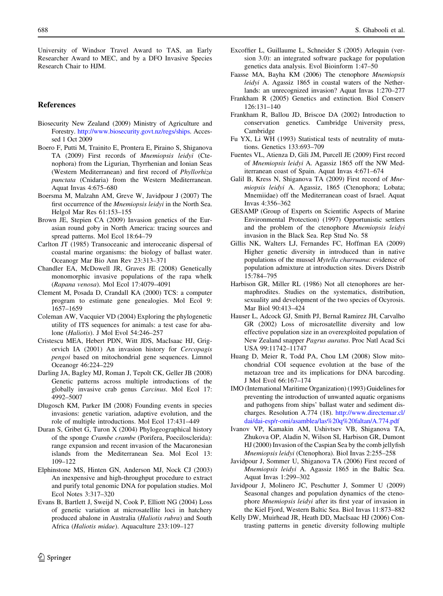<span id="page-9-0"></span>University of Windsor Travel Award to TAS, an Early Researcher Award to MEC, and by a DFO Invasive Species Research Chair to HJM.

# References

- Biosecurity New Zealand (2009) Ministry of Agriculture and Forestry. [http://www.biosecurity.govt.nz/regs/ships.](http://www.biosecurity.govt.nz/regs/ships) Accessed 1 Oct 2009
- Boero F, Putti M, Trainito E, Prontera E, Piraino S, Shiganova TA (2009) First records of Mnemiopsis leidyi (Ctenophora) from the Ligurian, Thyrrhenian and Ionian Seas (Western Mediterranean) and first record of Phyllorhiza punctata (Cnidaria) from the Western Mediterranean. Aquat Invas 4:675–680
- Boersma M, Malzahn AM, Greve W, Javidpour J (2007) The first occurrence of the Mnemiopsis leidyi in the North Sea. Helgol Mar Res 61:153–155
- Brown JE, Stepien CA (2009) Invasion genetics of the Eurasian round goby in North America: tracing sources and spread patterns. Mol Ecol 18:64–79
- Carlton JT (1985) Transoceanic and interoceanic dispersal of coastal marine organisms: the biology of ballast water. Oceanogr Mar Bio Ann Rev 23:313–371
- Chandler EA, McDowell JR, Graves JE (2008) Genetically monomorphic invasive populations of the rapa whelk (Rapana venosa). Mol Ecol 17:4079–4091
- Clement M, Posada D, Crandall KA (2000) TCS: a computer program to estimate gene genealogies. Mol Ecol 9: 1657–1659
- Coleman AW, Vacquier VD (2004) Exploring the phylogenetic utility of ITS sequences for animals: a test case for abalone (Haliotis). J Mol Evol 54:246–257
- Cristescu MEA, Hebert PDN, Witt JDS, MacIsaac HJ, Grigorvich IA (2001) An invasion history for Cercopagis pengoi based on mitochondrial gene sequences. Limnol Oceanogr 46:224–229
- Darling JA, Bagley MJ, Roman J, Tepolt CK, Geller JB (2008) Genetic patterns across multiple introductions of the globally invasive crab genus Carcinus. Mol Ecol 17: 4992–5007
- Dlugosch KM, Parker IM (2008) Founding events in species invasions: genetic variation, adaptive evolution, and the role of multiple introductions. Mol Ecol 17:431–449
- Duran S, Gribet G, Turon X (2004) Phylogeographical history of the sponge Crambe crambe (Porifera, Poecilosclerida): range expansion and recent invasion of the Macaronesian islands from the Mediterranean Sea. Mol Ecol 13: 109–122
- Elphinstone MS, Hinten GN, Anderson MJ, Nock CJ (2003) An inexpensive and high-throughput procedure to extract and purify total genomic DNA for population studies. Mol Ecol Notes 3:317–320
- Evans B, Bartlett J, Sweijd N, Cook P, Elliott NG (2004) Loss of genetic variation at microsatellite loci in hatchery produced abalone in Australia (Haliotis rubra) and South Africa (Haliotis midae). Aquaculture 233:109–127
- Excoffier L, Guillaume L, Schneider S (2005) Arlequin (version 3.0): an integrated software package for population genetics data analysis. Evol Bioinform 1:47–50
- Faasse MA, Bayha KM (2006) The ctenophore Mnemiopsis leidyi A. Agassiz 1865 in coastal waters of the Netherlands: an unrecognized invasion? Aquat Invas 1:270–277
- Frankham R (2005) Genetics and extinction. Biol Conserv 126:131–140
- Frankham R, Ballou JD, Briscoe DA (2002) Introduction to conservation genetics. Cambridge University press, Cambridge
- Fu YX, Li WH (1993) Statistical tests of neutrality of mutations. Genetics 133:693–709
- Fuentes VL, Atienza D, Gili JM, Purcell JE (2009) First record of Mnemiopsis leidyi A. Agassiz 1865 off the NW Mediterranean coast of Spain. Aquat Invas 4:671–674
- Galil B, Kress N, Shiganova TA (2009) First record of Mnemiopsis leidyi A. Agassiz, 1865 (Ctenophora; Lobata; Mnemiidae) off the Mediterranean coast of Israel. Aquat Invas 4:356–362
- GESAMP (Group of Experts on Scientific Aspects of Marine Environmental Protection) (1997) Opportunistic settlers and the problem of the ctenophore Mnemiopsis leidyi invasion in the Black Sea. Rep Stud No. 58
- Gillis NK, Walters LJ, Fernandes FC, Hoffman EA (2009) Higher genetic diversity in introduced than in native populations of the mussel Mytella charruana: evidence of population admixture at introduction sites. Divers Distrib 15:784–795
- Harbison GR, Miller RL (1986) Not all ctenophores are hermaphrodites. Studies on the systematics, distribution, sexuality and development of the two species of Ocyrosis. Mar Biol 90:413–424
- Hauser L, Adcock GJ, Smith PJ, Bernal Ramirez JH, Carvalho GR (2002) Loss of microsatellite diversity and low effective population size in an overexploited population of New Zealand snapper Pagrus auratus. Proc Natl Acad Sci USA 99:11742–11747
- Huang D, Meier R, Todd PA, Chou LM (2008) Slow mitochondrial COI sequence evolution at the base of the metazoan tree and its implications for DNA barcoding. J Mol Evol 66:167–174
- IMO (International Maritime Organization) (1993) Guidelines for preventing the introduction of unwanted aquatic organisms and pathogens from ships' ballast water and sediment discharges. Resolution A.774 (18). [http://www.directemar.cl/](http://www.directemar.cl/dai/dai-esp/r-omi/asamblea/las%20q%20faltan/A.774.pdf) [dai/dai-esp/r-omi/asamblea/las%20q%20faltan/A.774.pdf](http://www.directemar.cl/dai/dai-esp/r-omi/asamblea/las%20q%20faltan/A.774.pdf)
- Ivanov VP, Kamakin AM, Ushivtsev VB, Shiganova TA, Zhukova OP, Aladin N, Wilson SI, Harbison GR, Dumont HJ (2000) Invasion of the Caspian Sea by the comb jellyfish Mnemiopsis leidyi (Ctenophora). Biol Invas 2:255–258
- Javidpour J, Sommer U, Shiganova TA (2006) First record of Mnemiopsis leidyi A. Agassiz 1865 in the Baltic Sea. Aquat Invas 1:299–302
- Javidpour J, Molinero JC, Peschutter J, Sommer U (2009) Seasonal changes and population dynamics of the ctenophore Mnemiopsis leidyi after its first year of invasion in the Kiel Fjord, Western Baltic Sea. Biol Invas 11:873–882
- Kelly DW, Muirhead JR, Heath DD, MacIsaac HJ (2006) Contrasting patterns in genetic diversity following multiple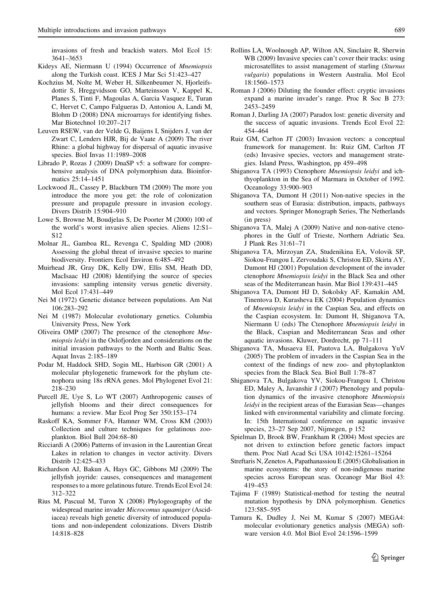<span id="page-10-0"></span>invasions of fresh and brackish waters. Mol Ecol 15: 3641–3653

- Kideys AE, Niermann U (1994) Occurrence of Mnemiopsis along the Turkish coast. ICES J Mar Sci 51:423–427
- Kochzius M, Nolte M, Weber H, Silkenbeumer N, Hjorleifsdottir S, Hreggvidsson GO, Marteinsson V, Kappel K, Planes S, Tinti F, Magoulas A, Garcia Vasquez E, Turan C, Hervet C, Campo Falgueras D, Antoniou A, Landi M, Blohm D (2008) DNA microarrays for identifying fishes. Mar Biotechnol 10:207–217
- Leuven RSEW, van der Velde G, Baijens I, Snijders J, van der Zwart C, Lenders HJR, Bij de Vaate A (2009) The river Rhine: a global highway for dispersal of aquatic invasive species. Biol Invas 11:1989–2008
- Librado P, Rozas J (2009) DnaSP v5: a software for comprehensive analysis of DNA polymorphism data. Bioinformatics 25:14–1451
- Lockwood JL, Cassey P, Blackburn TM (2009) The more you introduce the more you get: the role of colonization pressure and propagule pressure in invasion ecology. Divers Distrib 15:904–910
- Lowe S, Browne M, Boudjelas S, De Poorter M (2000) 100 of the world's worst invasive alien species. Aliens 12:S1– S12
- Molnar JL, Gamboa RL, Revenga C, Spalding MD (2008) Assessing the global threat of invasive species to marine biodiversity. Frontiers Ecol Environ 6:485–492
- Muirhead JR, Gray DK, Kelly DW, Ellis SM, Heath DD, MacIsaac HJ (2008) Identifying the source of species invasions: sampling intensity versus genetic diversity. Mol Ecol 17:431–449
- Nei M (1972) Genetic distance between populations. Am Nat 106:283–292
- Nei M (1987) Molecular evolutionary genetics. Columbia University Press, New York
- Oliveira OMP (2007) The presence of the ctenophore Mnemiopsis leidyi in the Oslofjorden and considerations on the initial invasion pathways to the North and Baltic Seas. Aquat Invas 2:185–189
- Podar M, Haddock SHD, Sogin ML, Harbison GR (2001) A molecular phylogenetic framework for the phylum ctenophora using 18s rRNA genes. Mol Phylogenet Evol 21: 218–230
- Purcell JE, Uye S, Lo WT (2007) Anthropogenic causes of jellyfish blooms and their direct consequences for humans: a review. Mar Ecol Prog Ser 350:153–174
- Raskoff KA, Sommer FA, Hamner WM, Cross KM (2003) Collection and culture techniques for gelatinous zooplankton. Biol Bull 204:68–80
- Ricciardi A (2006) Patterns of invasion in the Laurentian Great Lakes in relation to changes in vector activity. Divers Distrib 12:425–433
- Richardson AJ, Bakun A, Hays GC, Gibbons MJ (2009) The jellyfish joyride: causes, consequences and management responses to a more gelatinous future. Trends Ecol Evol 24: 312–322
- Rius M, Pascual M, Turon X (2008) Phylogeography of the widespread marine invader Microcomus squamiger (Ascidiacea) reveals high genetic diversity of introduced populations and non-independent colonizations. Divers Distrib 14:818–828
- Rollins LA, Woolnough AP, Wilton AN, Sinclaire R, Sherwin WB (2009) Invasive species can't cover their tracks: using microsatellites to assist management of starling (Sturnus vulgaris) populations in Western Australia. Mol Ecol 18:1560–1573
- Roman J (2006) Diluting the founder effect: cryptic invasions expand a marine invader's range. Proc R Soc B 273: 2453–2459
- Roman J, Darling JA (2007) Paradox lost: genetic diversity and the success of aquatic invasions. Trends Ecol Evol 22: 454–464
- Ruiz GM, Carlton JT (2003) Invasion vectors: a conceptual framework for management. In: Ruiz GM, Carlton JT (eds) Invasive species, vectors and management strategies. Island Press, Washington, pp 459–498
- Shiganova TA (1993) Ctenophore Mnemiopsis leidyi and ichthyoplankton in the Sea of Marmara in October of 1992. Oceanology 33:900–903
- Shiganova TA, Dumont H (2011) Non-native species in the southern seas of Eurasia: distribution, impacts, pathways and vectors. Springer Monograph Series, The Netherlands (in press)
- Shiganova TA, Malej A (2009) Native and non-native ctenophores in the Gulf of Trieste, Northern Adriatic Sea. J Plank Res 31:61–71
- Shiganova TA, Mirzoyan ZA, Studenikina EA, Volovik SP, Siokou-Frangou I, Zervoudaki S, Christou ED, Skirta AY, Dumont HJ (2001) Population development of the invader ctenophore Mnemiopsis leidyi in the Black Sea and other seas of the Mediterranean basin. Mar Biol 139:431–445
- Shiganova TA, Dumont HJ D, Sokolsky AF, Kamakin AM, Tinentova D, Kurasheva EK (2004) Population dynamics of Mnemiopsis leidyi in the Caspian Sea, and effects on the Caspian ecosystem. In: Dumont H, Shiganova TA, Niermann U (eds) The Ctenophore Mnemiopsis leidyi in the Black, Caspian and Mediterranean Seas and other aquatic invasions. Kluwer, Dordrecht, pp 71–111
- Shiganova TA, Musaeva EI, Pautova LA, Bulgakova YuV (2005) The problem of invaders in the Caspian Sea in the context of the findings of new zoo- and phytoplankton species from the Black Sea. Biol Bull 1:78–87
- Shiganova TA, Bulgakova YV, Siokou-Frangou I, Christou ED, Maley A, Javanshir J (2007) Phenology and population dynamics of the invasive ctenophore Mnemiopsis leidyi in the recipient areas of the Eurasian Seas—changes linked with environmental variability and climate forcing. In: 15th International conference on aquatic invasive species, 23–27 Sep 2007, Nijmegen, p 152
- Spielman D, Brook BW, Frankham R (2004) Most species are not driven to extinction before genetic factors impact them. Proc Natl Acad Sci USA 10142:15261–15264
- Streftaris N, Zenetos A, Papathanassiou E (2005) Globalisation in marine ecosystems: the story of non-indigenous marine species across European seas. Oceanogr Mar Biol 43: 419–453
- Tajima F (1989) Statistical-method for testing the neutral mutation hypothesis by DNA polymorphism. Genetics 123:585–595
- Tamura K, Dudley J, Nei M, Kumar S (2007) MEGA4: molecular evolutionary genetics analysis (MEGA) software version 4.0. Mol Biol Evol 24:1596–1599